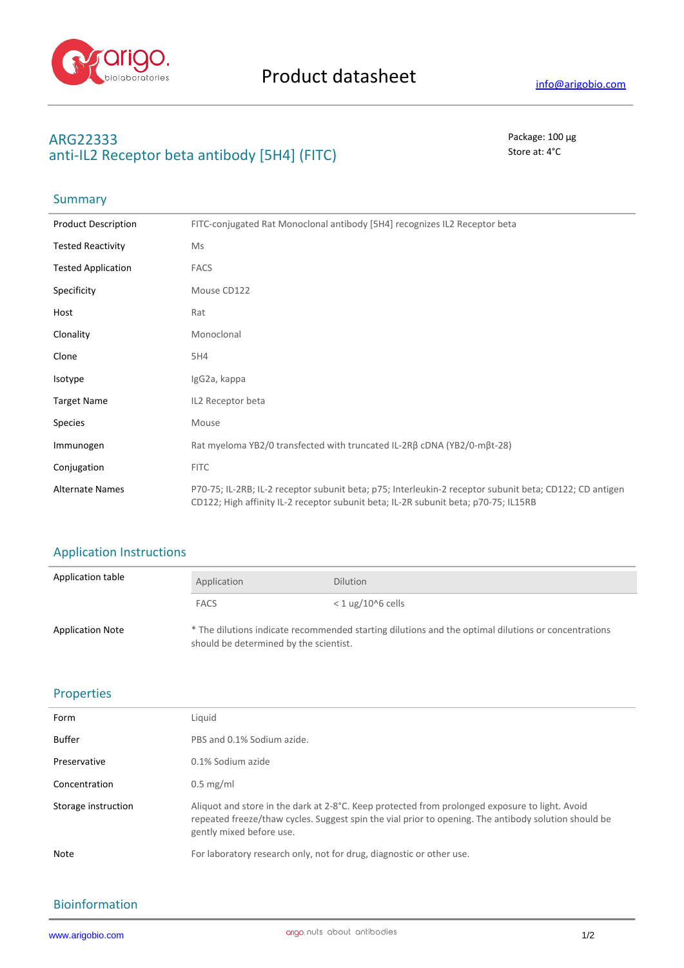

## **ARG22333** Package: 100 μg anti-IL2 Receptor beta antibody [5H4] (FITC) Store at: 4°C

## Summary

| <b>Product Description</b> | FITC-conjugated Rat Monoclonal antibody [5H4] recognizes IL2 Receptor beta                                                                                                                     |
|----------------------------|------------------------------------------------------------------------------------------------------------------------------------------------------------------------------------------------|
| <b>Tested Reactivity</b>   | Ms                                                                                                                                                                                             |
| <b>Tested Application</b>  | <b>FACS</b>                                                                                                                                                                                    |
| Specificity                | Mouse CD122                                                                                                                                                                                    |
| Host                       | Rat                                                                                                                                                                                            |
| Clonality                  | Monoclonal                                                                                                                                                                                     |
| Clone                      | 5H4                                                                                                                                                                                            |
| Isotype                    | IgG2a, kappa                                                                                                                                                                                   |
| <b>Target Name</b>         | IL2 Receptor beta                                                                                                                                                                              |
| <b>Species</b>             | Mouse                                                                                                                                                                                          |
| Immunogen                  | Rat myeloma YB2/0 transfected with truncated IL-2Rβ cDNA (YB2/0-mβt-28)                                                                                                                        |
| Conjugation                | <b>FITC</b>                                                                                                                                                                                    |
| <b>Alternate Names</b>     | P70-75; IL-2RB; IL-2 receptor subunit beta; p75; Interleukin-2 receptor subunit beta; CD122; CD antigen<br>CD122; High affinity IL-2 receptor subunit beta; IL-2R subunit beta; p70-75; IL15RB |

# Application Instructions

| Application table       | Application                                                                                                                                   | <b>Dilution</b>     |
|-------------------------|-----------------------------------------------------------------------------------------------------------------------------------------------|---------------------|
|                         | <b>FACS</b>                                                                                                                                   | $<$ 1 ug/10^6 cells |
| <b>Application Note</b> | * The dilutions indicate recommended starting dilutions and the optimal dilutions or concentrations<br>should be determined by the scientist. |                     |

### Properties

| Form                | Liquid                                                                                                                                                                                                                             |
|---------------------|------------------------------------------------------------------------------------------------------------------------------------------------------------------------------------------------------------------------------------|
| Buffer              | PBS and 0.1% Sodium azide.                                                                                                                                                                                                         |
| Preservative        | 0.1% Sodium azide                                                                                                                                                                                                                  |
| Concentration       | $0.5 \text{ mg/ml}$                                                                                                                                                                                                                |
| Storage instruction | Aliquot and store in the dark at 2-8°C. Keep protected from prolonged exposure to light. Avoid<br>repeated freeze/thaw cycles. Suggest spin the vial prior to opening. The antibody solution should be<br>gently mixed before use. |
| Note                | For laboratory research only, not for drug, diagnostic or other use.                                                                                                                                                               |

### Bioinformation